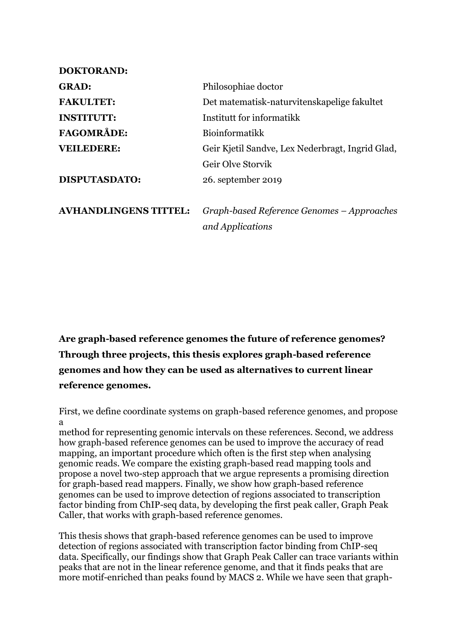| <b>DOKTORAND:</b>            |                                                  |
|------------------------------|--------------------------------------------------|
| <b>GRAD:</b>                 | Philosophiae doctor                              |
| <b>FAKULTET:</b>             | Det matematisk-naturvitenskapelige fakultet      |
| <b>INSTITUTT:</b>            | Institutt for informatikk                        |
| <b>FAGOMRÅDE:</b>            | <b>Bioinformatikk</b>                            |
| <b>VEILEDERE:</b>            | Geir Kjetil Sandve, Lex Nederbragt, Ingrid Glad, |
|                              | Geir Olve Storvik                                |
| <b>DISPUTASDATO:</b>         | 26. september 2019                               |
|                              |                                                  |
| <b>AVHANDLINGENS TITTEL:</b> | Graph-based Reference Genomes – Approaches       |
|                              | and Applications                                 |
|                              |                                                  |

**Are graph-based reference genomes the future of reference genomes? Through three projects, this thesis explores graph-based reference genomes and how they can be used as alternatives to current linear reference genomes.**

First, we define coordinate systems on graph-based reference genomes, and propose a

method for representing genomic intervals on these references. Second, we address how graph-based reference genomes can be used to improve the accuracy of read mapping, an important procedure which often is the first step when analysing genomic reads. We compare the existing graph-based read mapping tools and propose a novel two-step approach that we argue represents a promising direction for graph-based read mappers. Finally, we show how graph-based reference genomes can be used to improve detection of regions associated to transcription factor binding from ChIP-seq data, by developing the first peak caller, Graph Peak Caller, that works with graph-based reference genomes.

This thesis shows that graph-based reference genomes can be used to improve detection of regions associated with transcription factor binding from ChIP-seq data. Specifically, our findings show that Graph Peak Caller can trace variants within peaks that are not in the linear reference genome, and that it finds peaks that are more motif-enriched than peaks found by MACS 2. While we have seen that graph